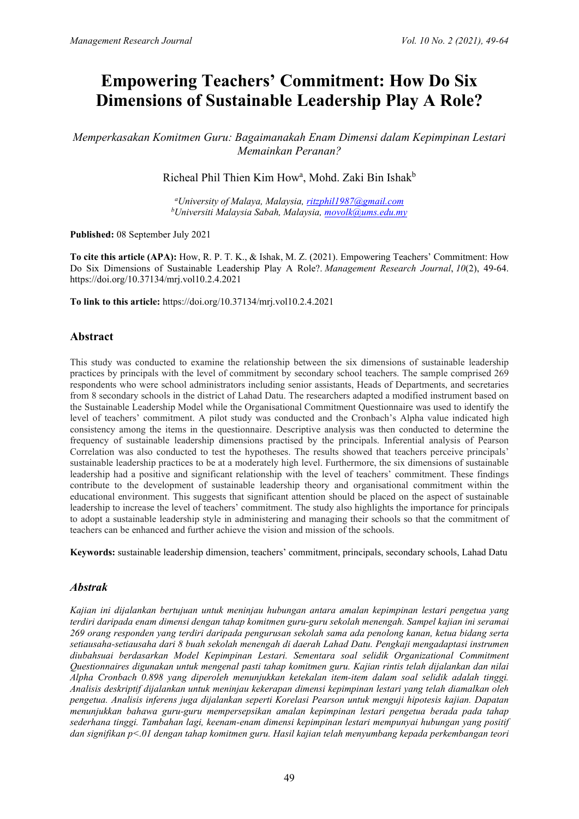# **Empowering Teachers' Commitment: How Do Six Dimensions of Sustainable Leadership Play A Role?**

*Memperkasakan Komitmen Guru: Bagaimanakah Enam Dimensi dalam Kepimpinan Lestari Memainkan Peranan?* 

Richeal Phil Thien Kim How<sup>a</sup>, Mohd. Zaki Bin Ishak<sup>b</sup>

*a University of Malaya, Malaysia, [ritzphil1987@gmail.com](mailto:ritzphil1987@gmail.com) b Universiti Malaysia Sabah, Malaysia, [movolk@ums.edu.my](mailto:movolk@ums.edu.my)*

**Published:** 08 September July 2021

**To cite this article (APA):** How, R. P. T. K., & Ishak, M. Z. (2021). Empowering Teachers' Commitment: How Do Six Dimensions of Sustainable Leadership Play A Role?. *Management Research Journal*, *10*(2), 49-64. https://doi.org/10.37134/mrj.vol10.2.4.2021

**To link to this article:** https://doi.org/10.37134/mrj.vol10.2.4.2021

## **Abstract**

This study was conducted to examine the relationship between the six dimensions of sustainable leadership practices by principals with the level of commitment by secondary school teachers. The sample comprised 269 respondents who were school administrators including senior assistants, Heads of Departments, and secretaries from 8 secondary schools in the district of Lahad Datu. The researchers adapted a modified instrument based on the Sustainable Leadership Model while the Organisational Commitment Questionnaire was used to identify the level of teachers' commitment. A pilot study was conducted and the Cronbach's Alpha value indicated high consistency among the items in the questionnaire. Descriptive analysis was then conducted to determine the frequency of sustainable leadership dimensions practised by the principals. Inferential analysis of Pearson Correlation was also conducted to test the hypotheses. The results showed that teachers perceive principals' sustainable leadership practices to be at a moderately high level. Furthermore, the six dimensions of sustainable leadership had a positive and significant relationship with the level of teachers' commitment. These findings contribute to the development of sustainable leadership theory and organisational commitment within the educational environment. This suggests that significant attention should be placed on the aspect of sustainable leadership to increase the level of teachers' commitment. The study also highlights the importance for principals to adopt a sustainable leadership style in administering and managing their schools so that the commitment of teachers can be enhanced and further achieve the vision and mission of the schools.

**Keywords:** sustainable leadership dimension, teachers' commitment, principals, secondary schools, Lahad Datu

#### *Abstrak*

*Kajian ini dijalankan bertujuan untuk meninjau hubungan antara amalan kepimpinan lestari pengetua yang terdiri daripada enam dimensi dengan tahap komitmen guru-guru sekolah menengah. Sampel kajian ini seramai 269 orang responden yang terdiri daripada pengurusan sekolah sama ada penolong kanan, ketua bidang serta setiausaha-setiausaha dari 8 buah sekolah menengah di daerah Lahad Datu. Pengkaji mengadaptasi instrumen diubahsuai berdasarkan Model Kepimpinan Lestari. Sementara soal selidik Organizational Commitment Questionnaires digunakan untuk mengenal pasti tahap komitmen guru. Kajian rintis telah dijalankan dan nilai Alpha Cronbach 0.898 yang diperoleh menunjukkan ketekalan item-item dalam soal selidik adalah tinggi. Analisis deskriptif dijalankan untuk meninjau kekerapan dimensi kepimpinan lestari yang telah diamalkan oleh pengetua. Analisis inferens juga dijalankan seperti Korelasi Pearson untuk menguji hipotesis kajian. Dapatan menunjukkan bahawa guru-guru mempersepsikan amalan kepimpinan lestari pengetua berada pada tahap sederhana tinggi. Tambahan lagi, keenam-enam dimensi kepimpinan lestari mempunyai hubungan yang positif dan signifikan p<.01 dengan tahap komitmen guru. Hasil kajian telah menyumbang kepada perkembangan teori*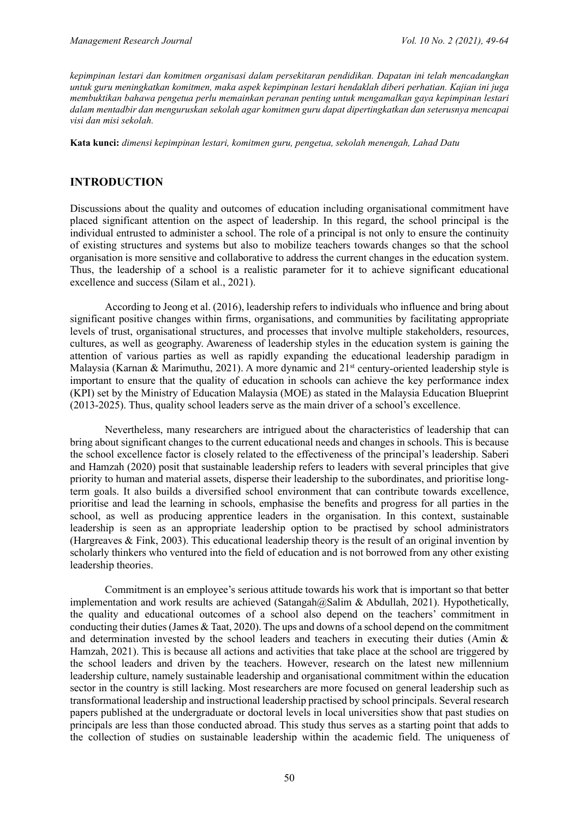*kepimpinan lestari dan komitmen organisasi dalam persekitaran pendidikan. Dapatan ini telah mencadangkan untuk guru meningkatkan komitmen, maka aspek kepimpinan lestari hendaklah diberi perhatian. Kajian ini juga membuktikan bahawa pengetua perlu memainkan peranan penting untuk mengamalkan gaya kepimpinan lestari dalam mentadbir dan menguruskan sekolah agar komitmen guru dapat dipertingkatkan dan seterusnya mencapai visi dan misi sekolah.*

**Kata kunci:** *dimensi kepimpinan lestari, komitmen guru, pengetua, sekolah menengah, Lahad Datu*

#### **INTRODUCTION**

Discussions about the quality and outcomes of education including organisational commitment have placed significant attention on the aspect of leadership. In this regard, the school principal is the individual entrusted to administer a school. The role of a principal is not only to ensure the continuity of existing structures and systems but also to mobilize teachers towards changes so that the school organisation is more sensitive and collaborative to address the current changes in the education system. Thus, the leadership of a school is a realistic parameter for it to achieve significant educational excellence and success (Silam et al., 2021).

According to Jeong et al. (2016), leadership refers to individuals who influence and bring about significant positive changes within firms, organisations, and communities by facilitating appropriate levels of trust, organisational structures, and processes that involve multiple stakeholders, resources, cultures, as well as geography. Awareness of leadership styles in the education system is gaining the attention of various parties as well as rapidly expanding the educational leadership paradigm in Malaysia (Karnan & Marimuthu, 2021). A more dynamic and  $21<sup>st</sup>$  century-oriented leadership style is important to ensure that the quality of education in schools can achieve the key performance index (KPI) set by the Ministry of Education Malaysia (MOE) as stated in the Malaysia Education Blueprint (2013-2025). Thus, quality school leaders serve as the main driver of a school's excellence.

Nevertheless, many researchers are intrigued about the characteristics of leadership that can bring about significant changes to the current educational needs and changes in schools. This is because the school excellence factor is closely related to the effectiveness of the principal's leadership. Saberi and Hamzah (2020) posit that sustainable leadership refers to leaders with several principles that give priority to human and material assets, disperse their leadership to the subordinates, and prioritise longterm goals. It also builds a diversified school environment that can contribute towards excellence, prioritise and lead the learning in schools, emphasise the benefits and progress for all parties in the school, as well as producing apprentice leaders in the organisation. In this context, sustainable leadership is seen as an appropriate leadership option to be practised by school administrators (Hargreaves & Fink, 2003). This educational leadership theory is the result of an original invention by scholarly thinkers who ventured into the field of education and is not borrowed from any other existing leadership theories.

Commitment is an employee's serious attitude towards his work that is important so that better implementation and work results are achieved (Satangah@Salim & Abdullah, 2021). Hypothetically, the quality and educational outcomes of a school also depend on the teachers' commitment in conducting their duties (James & Taat, 2020). The ups and downs of a school depend on the commitment and determination invested by the school leaders and teachers in executing their duties (Amin & Hamzah, 2021). This is because all actions and activities that take place at the school are triggered by the school leaders and driven by the teachers. However, research on the latest new millennium leadership culture, namely sustainable leadership and organisational commitment within the education sector in the country is still lacking. Most researchers are more focused on general leadership such as transformational leadership and instructional leadership practised by school principals. Several research papers published at the undergraduate or doctoral levels in local universities show that past studies on principals are less than those conducted abroad. This study thus serves as a starting point that adds to the collection of studies on sustainable leadership within the academic field. The uniqueness of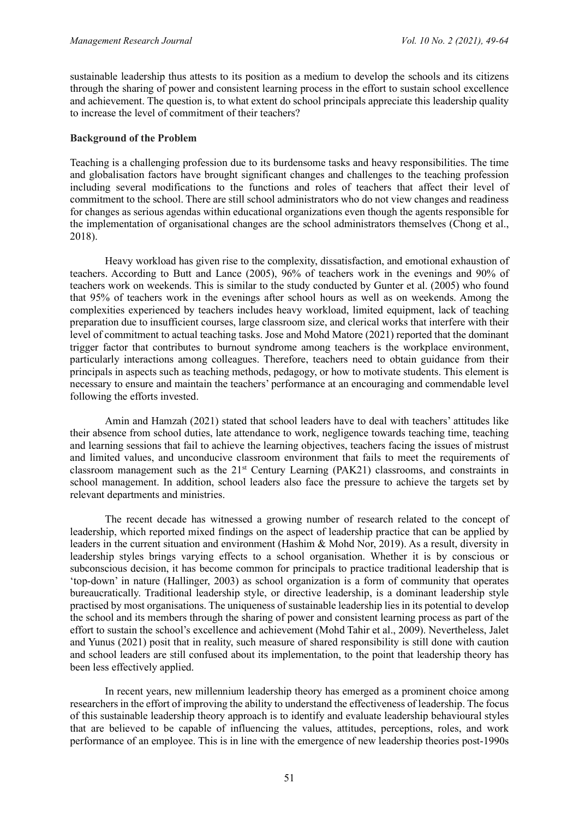sustainable leadership thus attests to its position as a medium to develop the schools and its citizens through the sharing of power and consistent learning process in the effort to sustain school excellence and achievement. The question is, to what extent do school principals appreciate this leadership quality to increase the level of commitment of their teachers?

#### **Background of the Problem**

Teaching is a challenging profession due to its burdensome tasks and heavy responsibilities. The time and globalisation factors have brought significant changes and challenges to the teaching profession including several modifications to the functions and roles of teachers that affect their level of commitment to the school. There are still school administrators who do not view changes and readiness for changes as serious agendas within educational organizations even though the agents responsible for the implementation of organisational changes are the school administrators themselves (Chong et al., 2018).

Heavy workload has given rise to the complexity, dissatisfaction, and emotional exhaustion of teachers. According to Butt and Lance (2005), 96% of teachers work in the evenings and 90% of teachers work on weekends. This is similar to the study conducted by Gunter et al. (2005) who found that 95% of teachers work in the evenings after school hours as well as on weekends. Among the complexities experienced by teachers includes heavy workload, limited equipment, lack of teaching preparation due to insufficient courses, large classroom size, and clerical works that interfere with their level of commitment to actual teaching tasks. Jose and Mohd Matore (2021) reported that the dominant trigger factor that contributes to burnout syndrome among teachers is the workplace environment, particularly interactions among colleagues. Therefore, teachers need to obtain guidance from their principals in aspects such as teaching methods, pedagogy, or how to motivate students. This element is necessary to ensure and maintain the teachers' performance at an encouraging and commendable level following the efforts invested.

Amin and Hamzah (2021) stated that school leaders have to deal with teachers' attitudes like their absence from school duties, late attendance to work, negligence towards teaching time, teaching and learning sessions that fail to achieve the learning objectives, teachers facing the issues of mistrust and limited values, and unconducive classroom environment that fails to meet the requirements of classroom management such as the 21<sup>st</sup> Century Learning (PAK21) classrooms, and constraints in school management. In addition, school leaders also face the pressure to achieve the targets set by relevant departments and ministries.

The recent decade has witnessed a growing number of research related to the concept of leadership, which reported mixed findings on the aspect of leadership practice that can be applied by leaders in the current situation and environment (Hashim & Mohd Nor, 2019). As a result, diversity in leadership styles brings varying effects to a school organisation. Whether it is by conscious or subconscious decision, it has become common for principals to practice traditional leadership that is 'top-down' in nature (Hallinger, 2003) as school organization is a form of community that operates bureaucratically. Traditional leadership style, or directive leadership, is a dominant leadership style practised by most organisations. The uniqueness of sustainable leadership lies in its potential to develop the school and its members through the sharing of power and consistent learning process as part of the effort to sustain the school's excellence and achievement (Mohd Tahir et al., 2009). Nevertheless, Jalet and Yunus (2021) posit that in reality, such measure of shared responsibility is still done with caution and school leaders are still confused about its implementation, to the point that leadership theory has been less effectively applied.

In recent years, new millennium leadership theory has emerged as a prominent choice among researchers in the effort of improving the ability to understand the effectiveness of leadership. The focus of this sustainable leadership theory approach is to identify and evaluate leadership behavioural styles that are believed to be capable of influencing the values, attitudes, perceptions, roles, and work performance of an employee. This is in line with the emergence of new leadership theories post-1990s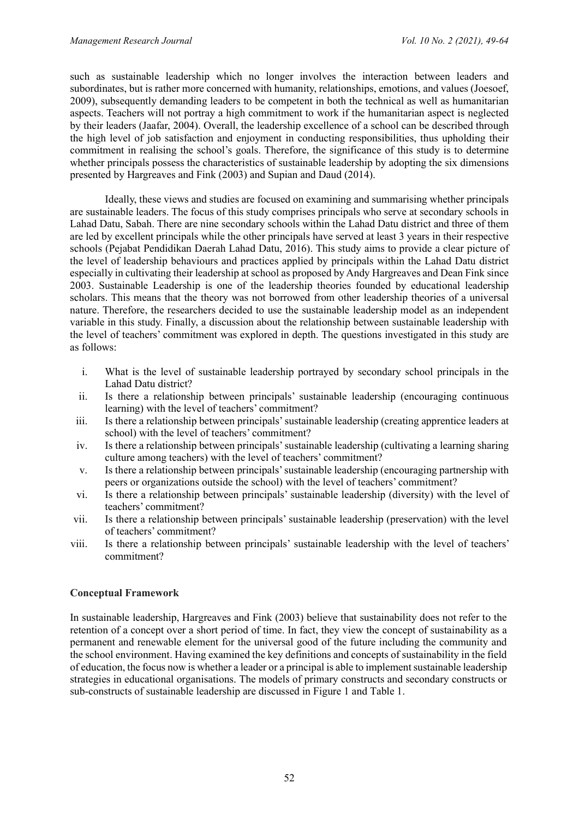such as sustainable leadership which no longer involves the interaction between leaders and subordinates, but is rather more concerned with humanity, relationships, emotions, and values (Joesoef, 2009), subsequently demanding leaders to be competent in both the technical as well as humanitarian aspects. Teachers will not portray a high commitment to work if the humanitarian aspect is neglected by their leaders (Jaafar, 2004). Overall, the leadership excellence of a school can be described through the high level of job satisfaction and enjoyment in conducting responsibilities, thus upholding their commitment in realising the school's goals. Therefore, the significance of this study is to determine whether principals possess the characteristics of sustainable leadership by adopting the six dimensions presented by Hargreaves and Fink (2003) and Supian and Daud (2014).

Ideally, these views and studies are focused on examining and summarising whether principals are sustainable leaders. The focus of this study comprises principals who serve at secondary schools in Lahad Datu, Sabah. There are nine secondary schools within the Lahad Datu district and three of them are led by excellent principals while the other principals have served at least 3 years in their respective schools (Pejabat Pendidikan Daerah Lahad Datu, 2016). This study aims to provide a clear picture of the level of leadership behaviours and practices applied by principals within the Lahad Datu district especially in cultivating their leadership at school as proposed by Andy Hargreaves and Dean Fink since 2003. Sustainable Leadership is one of the leadership theories founded by educational leadership scholars. This means that the theory was not borrowed from other leadership theories of a universal nature. Therefore, the researchers decided to use the sustainable leadership model as an independent variable in this study. Finally, a discussion about the relationship between sustainable leadership with the level of teachers' commitment was explored in depth. The questions investigated in this study are as follows:

- i. What is the level of sustainable leadership portrayed by secondary school principals in the Lahad Datu district?
- ii. Is there a relationship between principals' sustainable leadership (encouraging continuous learning) with the level of teachers' commitment?
- iii. Is there a relationship between principals' sustainable leadership (creating apprentice leaders at school) with the level of teachers' commitment?
- iv. Is there a relationship between principals' sustainable leadership (cultivating a learning sharing culture among teachers) with the level of teachers' commitment?
- v. Is there a relationship between principals' sustainable leadership (encouraging partnership with peers or organizations outside the school) with the level of teachers' commitment?
- vi. Is there a relationship between principals' sustainable leadership (diversity) with the level of teachers' commitment?
- vii. Is there a relationship between principals' sustainable leadership (preservation) with the level of teachers' commitment?
- viii. Is there a relationship between principals' sustainable leadership with the level of teachers' commitment?

#### **Conceptual Framework**

In sustainable leadership, Hargreaves and Fink (2003) believe that sustainability does not refer to the retention of a concept over a short period of time. In fact, they view the concept of sustainability as a permanent and renewable element for the universal good of the future including the community and the school environment. Having examined the key definitions and concepts of sustainability in the field of education, the focus now is whether a leader or a principal is able to implement sustainable leadership strategies in educational organisations. The models of primary constructs and secondary constructs or sub-constructs of sustainable leadership are discussed in Figure 1 and Table 1.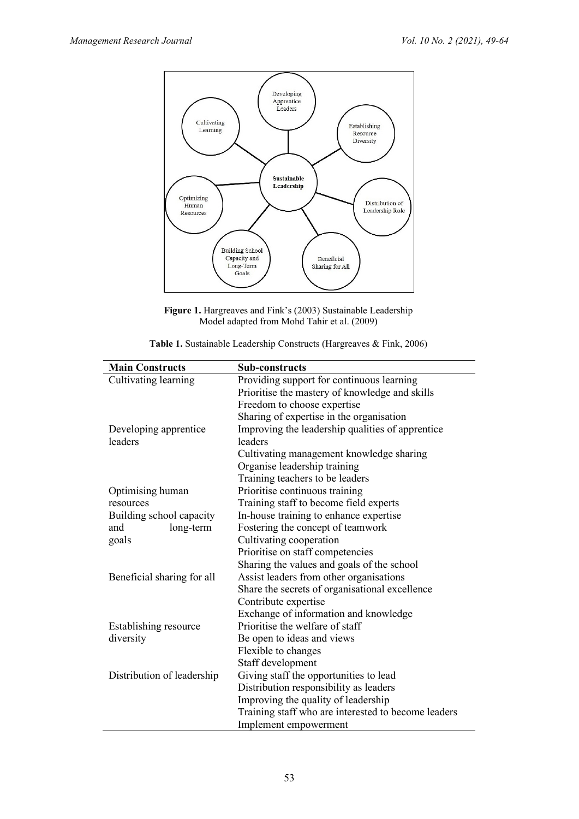

**Figure 1.** Hargreaves and Fink's (2003) Sustainable Leadership Model adapted from Mohd Tahir et al. (2009)

| Table 1. Sustainable Leadership Constructs (Hargreaves & Fink, 2006) |  |  |  |
|----------------------------------------------------------------------|--|--|--|
|----------------------------------------------------------------------|--|--|--|

| <b>Main Constructs</b>     | Sub-constructs                                      |
|----------------------------|-----------------------------------------------------|
| Cultivating learning       | Providing support for continuous learning           |
|                            | Prioritise the mastery of knowledge and skills      |
|                            | Freedom to choose expertise                         |
|                            | Sharing of expertise in the organisation            |
| Developing apprentice      | Improving the leadership qualities of apprentice    |
| leaders                    | leaders                                             |
|                            | Cultivating management knowledge sharing            |
|                            | Organise leadership training                        |
|                            | Training teachers to be leaders                     |
| Optimising human           | Prioritise continuous training                      |
| resources                  | Training staff to become field experts              |
| Building school capacity   | In-house training to enhance expertise              |
| long-term<br>and           | Fostering the concept of teamwork                   |
| goals                      | Cultivating cooperation                             |
|                            | Prioritise on staff competencies                    |
|                            | Sharing the values and goals of the school          |
| Beneficial sharing for all | Assist leaders from other organisations             |
|                            | Share the secrets of organisational excellence      |
|                            | Contribute expertise                                |
|                            | Exchange of information and knowledge               |
| Establishing resource      | Prioritise the welfare of staff                     |
| diversity                  | Be open to ideas and views                          |
|                            | Flexible to changes                                 |
|                            | Staff development                                   |
| Distribution of leadership | Giving staff the opportunities to lead              |
|                            | Distribution responsibility as leaders              |
|                            | Improving the quality of leadership                 |
|                            | Training staff who are interested to become leaders |
|                            | Implement empowerment                               |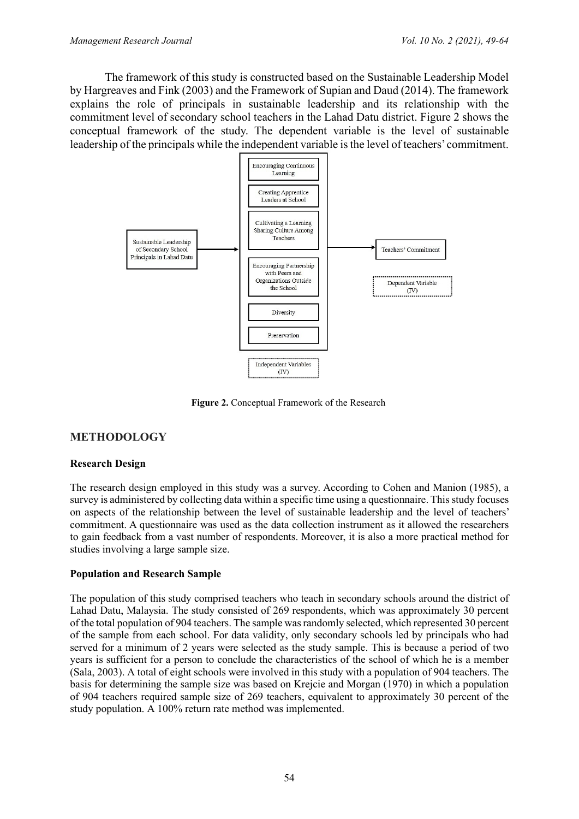The framework of this study is constructed based on the Sustainable Leadership Model by Hargreaves and Fink (2003) and the Framework of Supian and Daud (2014). The framework explains the role of principals in sustainable leadership and its relationship with the commitment level of secondary school teachers in the Lahad Datu district. Figure 2 shows the conceptual framework of the study. The dependent variable is the level of sustainable leadership of the principals while the independent variable is the level of teachers' commitment.



**Figure 2.** Conceptual Framework of the Research

# **METHODOLOGY**

## **Research Design**

The research design employed in this study was a survey. According to Cohen and Manion (1985), a survey is administered by collecting data within a specific time using a questionnaire. This study focuses on aspects of the relationship between the level of sustainable leadership and the level of teachers' commitment. A questionnaire was used as the data collection instrument as it allowed the researchers to gain feedback from a vast number of respondents. Moreover, it is also a more practical method for studies involving a large sample size.

## **Population and Research Sample**

The population of this study comprised teachers who teach in secondary schools around the district of Lahad Datu, Malaysia. The study consisted of 269 respondents, which was approximately 30 percent of the total population of 904 teachers. The sample was randomly selected, which represented 30 percent of the sample from each school. For data validity, only secondary schools led by principals who had served for a minimum of 2 years were selected as the study sample. This is because a period of two years is sufficient for a person to conclude the characteristics of the school of which he is a member (Sala, 2003). A total of eight schools were involved in this study with a population of 904 teachers. The basis for determining the sample size was based on Krejcie and Morgan (1970) in which a population of 904 teachers required sample size of 269 teachers, equivalent to approximately 30 percent of the study population. A 100% return rate method was implemented.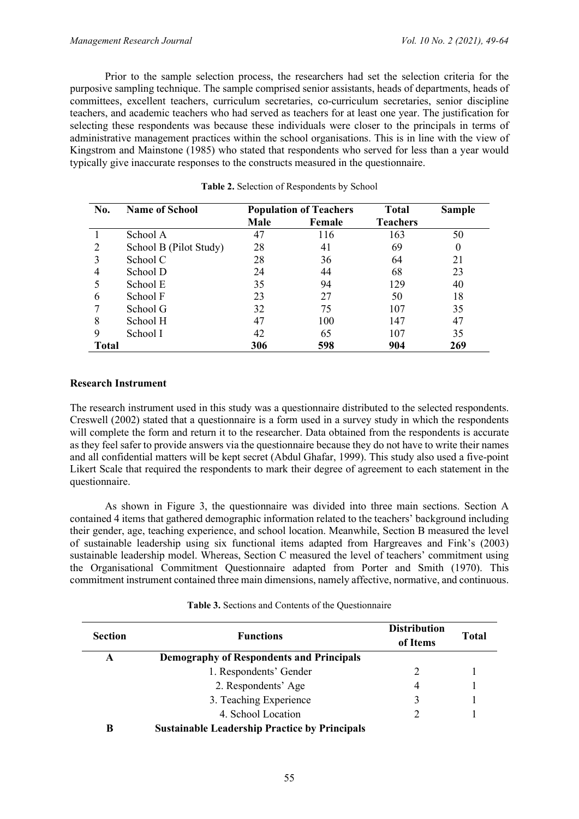Prior to the sample selection process, the researchers had set the selection criteria for the purposive sampling technique. The sample comprised senior assistants, heads of departments, heads of committees, excellent teachers, curriculum secretaries, co-curriculum secretaries, senior discipline teachers, and academic teachers who had served as teachers for at least one year. The justification for selecting these respondents was because these individuals were closer to the principals in terms of administrative management practices within the school organisations. This is in line with the view of Kingstrom and Mainstone (1985) who stated that respondents who served for less than a year would typically give inaccurate responses to the constructs measured in the questionnaire.

| No.          | <b>Name of School</b>  | <b>Population of Teachers</b> |        | <b>Total</b>    | <b>Sample</b> |
|--------------|------------------------|-------------------------------|--------|-----------------|---------------|
|              |                        | Male                          | Female | <b>Teachers</b> |               |
|              | School A               | 47                            | 116    | 163             | 50            |
| 2            | School B (Pilot Study) | 28                            | 41     | 69              | $\theta$      |
|              | School C               | 28                            | 36     | 64              | 21            |
| 4            | School D               | 24                            | 44     | 68              | 23            |
|              | School E               | 35                            | 94     | 129             | 40            |
| 6            | School F               | 23                            | 27     | 50              | 18            |
|              | School G               | 32                            | 75     | 107             | 35            |
| 8            | School H               | 47                            | 100    | 147             | 47            |
| 9            | School I               | 42                            | 65     | 107             | 35            |
| <b>Total</b> |                        | 306                           | 598    | 904             | 269           |

| Table 2. Selection of Respondents by School |  |  |  |  |  |  |  |
|---------------------------------------------|--|--|--|--|--|--|--|
|---------------------------------------------|--|--|--|--|--|--|--|

#### **Research Instrument**

The research instrument used in this study was a questionnaire distributed to the selected respondents. Creswell (2002) stated that a questionnaire is a form used in a survey study in which the respondents will complete the form and return it to the researcher. Data obtained from the respondents is accurate as they feel safer to provide answers via the questionnaire because they do not have to write their names and all confidential matters will be kept secret (Abdul Ghafar, 1999). This study also used a five-point Likert Scale that required the respondents to mark their degree of agreement to each statement in the questionnaire.

As shown in Figure 3, the questionnaire was divided into three main sections. Section A contained 4 items that gathered demographic information related to the teachers' background including their gender, age, teaching experience, and school location. Meanwhile, Section B measured the level of sustainable leadership using six functional items adapted from Hargreaves and Fink's (2003) sustainable leadership model. Whereas, Section C measured the level of teachers' commitment using the Organisational Commitment Questionnaire adapted from Porter and Smith (1970). This commitment instrument contained three main dimensions, namely affective, normative, and continuous.

| Table 3. Sections and Contents of the Questionnaire |  |
|-----------------------------------------------------|--|
|-----------------------------------------------------|--|

| <b>Section</b> | <b>Functions</b>                                     | <b>Distribution</b><br>of Items | <b>Total</b> |
|----------------|------------------------------------------------------|---------------------------------|--------------|
| A              | <b>Demography of Respondents and Principals</b>      |                                 |              |
|                | 1. Respondents' Gender                               |                                 |              |
|                | 2. Respondents' Age                                  | 4                               |              |
|                | 3. Teaching Experience                               | 3                               |              |
|                | 4. School Location                                   |                                 |              |
| B              | <b>Sustainable Leadership Practice by Principals</b> |                                 |              |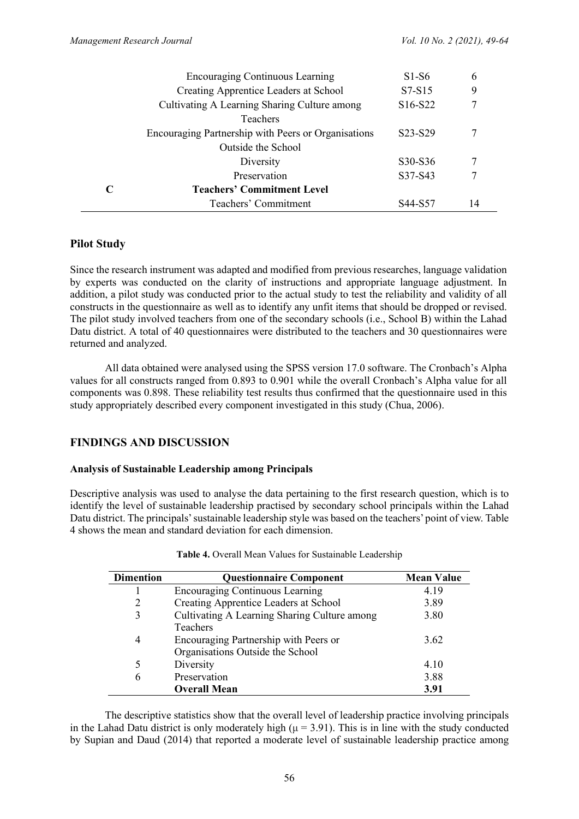|                             | <b>Encouraging Continuous Learning</b>              | $S1-S6$                          | 6  |
|-----------------------------|-----------------------------------------------------|----------------------------------|----|
|                             | Creating Apprentice Leaders at School               | $S7-S15$                         | 9  |
|                             | Cultivating A Learning Sharing Culture among        | S <sub>16</sub> -S <sub>22</sub> |    |
|                             | <b>Teachers</b>                                     |                                  |    |
|                             | Encouraging Partnership with Peers or Organisations | S <sub>2</sub> 3-S <sub>29</sub> |    |
|                             | Outside the School                                  |                                  |    |
|                             | Diversity                                           | S30-S36                          |    |
|                             | Preservation                                        | S37-S43                          |    |
| $\mathcal{C}_{\mathcal{C}}$ | <b>Teachers' Commitment Level</b>                   |                                  |    |
|                             | Teachers' Commitment                                | S44-S57                          | 14 |

# **Pilot Study**

Since the research instrument was adapted and modified from previous researches, language validation by experts was conducted on the clarity of instructions and appropriate language adjustment. In addition, a pilot study was conducted prior to the actual study to test the reliability and validity of all constructs in the questionnaire as well as to identify any unfit items that should be dropped or revised. The pilot study involved teachers from one of the secondary schools (i.e., School B) within the Lahad Datu district. A total of 40 questionnaires were distributed to the teachers and 30 questionnaires were returned and analyzed.

All data obtained were analysed using the SPSS version 17.0 software. The Cronbach's Alpha values for all constructs ranged from 0.893 to 0.901 while the overall Cronbach's Alpha value for all components was 0.898. These reliability test results thus confirmed that the questionnaire used in this study appropriately described every component investigated in this study (Chua, 2006).

# **FINDINGS AND DISCUSSION**

#### **Analysis of Sustainable Leadership among Principals**

Descriptive analysis was used to analyse the data pertaining to the first research question, which is to identify the level of sustainable leadership practised by secondary school principals within the Lahad Datu district. The principals' sustainable leadership style was based on the teachers' point of view. Table 4 shows the mean and standard deviation for each dimension.

| <b>Dimention</b> | <b>Questionnaire Component</b>               | <b>Mean Value</b> |
|------------------|----------------------------------------------|-------------------|
|                  | <b>Encouraging Continuous Learning</b>       | 4.19              |
|                  | Creating Apprentice Leaders at School        | 3.89              |
| 3                | Cultivating A Learning Sharing Culture among | 3.80              |
|                  | <b>Teachers</b>                              |                   |
| 4                | Encouraging Partnership with Peers or        | 3.62              |
|                  | Organisations Outside the School             |                   |
| 5                | Diversity                                    | 4.10              |
| 6                | Preservation                                 | 3.88              |
|                  | <b>Overall Mean</b>                          | 3.91              |

| Table 4. Overall Mean Values for Sustainable Leadership |  |  |
|---------------------------------------------------------|--|--|
|                                                         |  |  |

The descriptive statistics show that the overall level of leadership practice involving principals in the Lahad Datu district is only moderately high ( $\mu$  = 3.91). This is in line with the study conducted by Supian and Daud (2014) that reported a moderate level of sustainable leadership practice among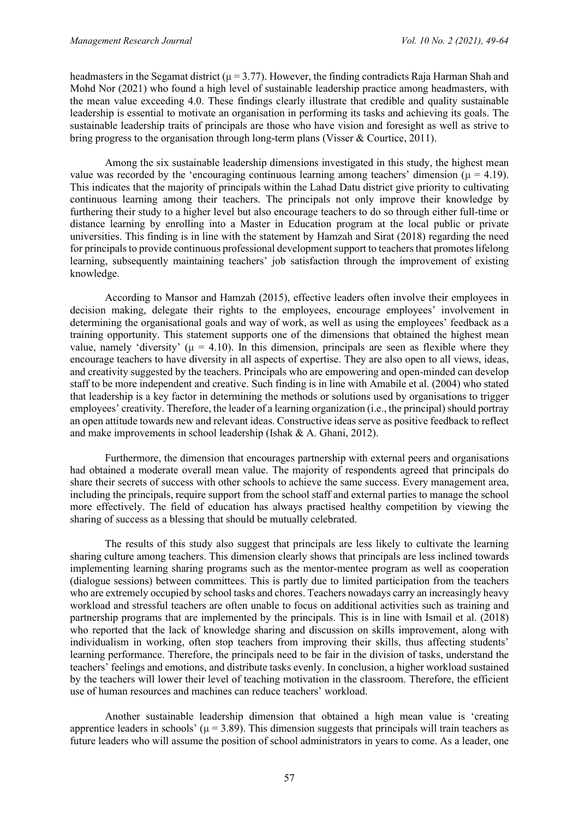headmasters in the Segamat district ( $\mu = 3.77$ ). However, the finding contradicts Raja Harman Shah and Mohd Nor (2021) who found a high level of sustainable leadership practice among headmasters, with the mean value exceeding 4.0. These findings clearly illustrate that credible and quality sustainable leadership is essential to motivate an organisation in performing its tasks and achieving its goals. The sustainable leadership traits of principals are those who have vision and foresight as well as strive to bring progress to the organisation through long-term plans (Visser & Courtice, 2011).

Among the six sustainable leadership dimensions investigated in this study, the highest mean value was recorded by the 'encouraging continuous learning among teachers' dimension ( $\mu = 4.19$ ). This indicates that the majority of principals within the Lahad Datu district give priority to cultivating continuous learning among their teachers. The principals not only improve their knowledge by furthering their study to a higher level but also encourage teachers to do so through either full-time or distance learning by enrolling into a Master in Education program at the local public or private universities. This finding is in line with the statement by Hamzah and Sirat (2018) regarding the need for principals to provide continuous professional development support to teachers that promotes lifelong learning, subsequently maintaining teachers' job satisfaction through the improvement of existing knowledge.

According to Mansor and Hamzah (2015), effective leaders often involve their employees in decision making, delegate their rights to the employees, encourage employees' involvement in determining the organisational goals and way of work, as well as using the employees' feedback as a training opportunity. This statement supports one of the dimensions that obtained the highest mean value, namely 'diversity' ( $\mu = 4.10$ ). In this dimension, principals are seen as flexible where they encourage teachers to have diversity in all aspects of expertise. They are also open to all views, ideas, and creativity suggested by the teachers. Principals who are empowering and open-minded can develop staff to be more independent and creative. Such finding is in line with Amabile et al. (2004) who stated that leadership is a key factor in determining the methods or solutions used by organisations to trigger employees' creativity. Therefore, the leader of a learning organization (i.e., the principal) should portray an open attitude towards new and relevant ideas. Constructive ideas serve as positive feedback to reflect and make improvements in school leadership (Ishak & A. Ghani, 2012).

Furthermore, the dimension that encourages partnership with external peers and organisations had obtained a moderate overall mean value. The majority of respondents agreed that principals do share their secrets of success with other schools to achieve the same success. Every management area, including the principals, require support from the school staff and external parties to manage the school more effectively. The field of education has always practised healthy competition by viewing the sharing of success as a blessing that should be mutually celebrated.

The results of this study also suggest that principals are less likely to cultivate the learning sharing culture among teachers. This dimension clearly shows that principals are less inclined towards implementing learning sharing programs such as the mentor-mentee program as well as cooperation (dialogue sessions) between committees. This is partly due to limited participation from the teachers who are extremely occupied by school tasks and chores. Teachers nowadays carry an increasingly heavy workload and stressful teachers are often unable to focus on additional activities such as training and partnership programs that are implemented by the principals. This is in line with Ismail et al. (2018) who reported that the lack of knowledge sharing and discussion on skills improvement, along with individualism in working, often stop teachers from improving their skills, thus affecting students' learning performance. Therefore, the principals need to be fair in the division of tasks, understand the teachers' feelings and emotions, and distribute tasks evenly. In conclusion, a higher workload sustained by the teachers will lower their level of teaching motivation in the classroom. Therefore, the efficient use of human resources and machines can reduce teachers' workload.

Another sustainable leadership dimension that obtained a high mean value is 'creating apprentice leaders in schools' ( $\mu$  = 3.89). This dimension suggests that principals will train teachers as future leaders who will assume the position of school administrators in years to come. As a leader, one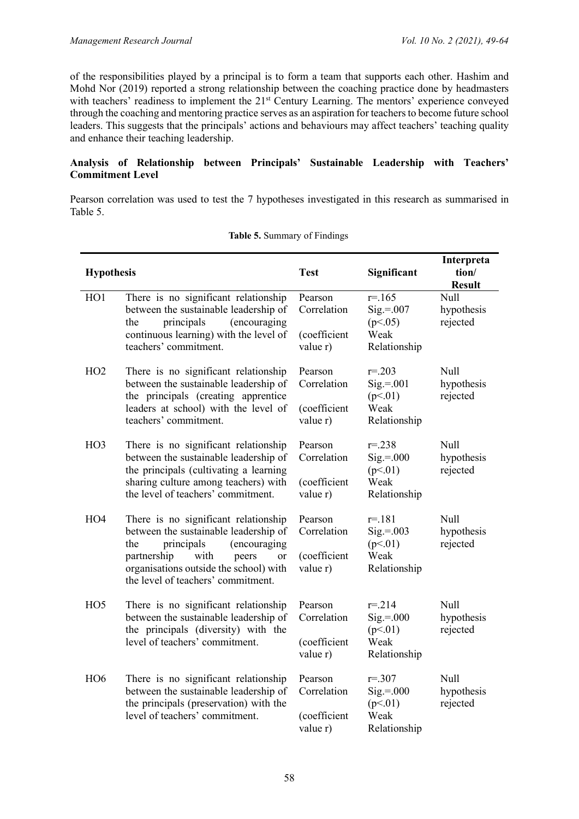of the responsibilities played by a principal is to form a team that supports each other. Hashim and Mohd Nor (2019) reported a strong relationship between the coaching practice done by headmasters with teachers' readiness to implement the 21<sup>st</sup> Century Learning. The mentors' experience conveyed through the coaching and mentoring practice serves as an aspiration for teachers to become future school leaders. This suggests that the principals' actions and behaviours may affect teachers' teaching quality and enhance their teaching leadership.

## **Analysis of Relationship between Principals' Sustainable Leadership with Teachers' Commitment Level**

Pearson correlation was used to test the 7 hypotheses investigated in this research as summarised in Table 5.

| <b>Hypothesis</b> |                                                                                                                                                                                                                                                     | <b>Test</b>                                        | Significant                                                   | Interpreta<br>tion/<br><b>Result</b> |
|-------------------|-----------------------------------------------------------------------------------------------------------------------------------------------------------------------------------------------------------------------------------------------------|----------------------------------------------------|---------------------------------------------------------------|--------------------------------------|
| HO1               | There is no significant relationship<br>between the sustainable leadership of<br>principals<br>(encouraging<br>the<br>continuous learning) with the level of<br>teachers' commitment.                                                               | Pearson<br>Correlation<br>(coefficient<br>value r) | $r = 165$<br>$Sig.=.007$<br>(p<.05)<br>Weak<br>Relationship   | Null<br>hypothesis<br>rejected       |
| HO2               | There is no significant relationship<br>between the sustainable leadership of<br>the principals (creating apprentice<br>leaders at school) with the level of<br>teachers' commitment.                                                               | Pearson<br>Correlation<br>(coefficient<br>value r) | $r = 203$<br>$Sig=.001$<br>(p<.01)<br>Weak<br>Relationship    | Null<br>hypothesis<br>rejected       |
| HO <sub>3</sub>   | There is no significant relationship<br>between the sustainable leadership of<br>the principals (cultivating a learning<br>sharing culture among teachers) with<br>the level of teachers' commitment.                                               | Pearson<br>Correlation<br>(coefficient<br>value r) | $r = 238$<br>$Sig.=.000$<br>(p<.01)<br>Weak<br>Relationship   | Null<br>hypothesis<br>rejected       |
| HO <sub>4</sub>   | There is no significant relationship<br>between the sustainable leadership of<br>(encouraging<br>principals<br>the<br>partnership<br>with<br>peers<br><sub>or</sub><br>organisations outside the school) with<br>the level of teachers' commitment. | Pearson<br>Correlation<br>(coefficient<br>value r) | $r = 181$<br>$Sig.=.003$<br>(p<.01)<br>Weak<br>Relationship   | Null<br>hypothesis<br>rejected       |
| HO <sub>5</sub>   | There is no significant relationship<br>between the sustainable leadership of<br>the principals (diversity) with the<br>level of teachers' commitment.                                                                                              | Pearson<br>Correlation<br>(coefficient<br>value r) | $r = 214$<br>$Sig.=.000$<br>(p<.01)<br>Weak<br>Relationship   | Null<br>hypothesis<br>rejected       |
| HO <sub>6</sub>   | There is no significant relationship<br>between the sustainable leadership of<br>the principals (preservation) with the<br>level of teachers' commitment.                                                                                           | Pearson<br>Correlation<br>(coefficient<br>value r) | $r = 0.307$<br>$Sig.=.000$<br>(p<.01)<br>Weak<br>Relationship | Null<br>hypothesis<br>rejected       |

#### **Table 5.** Summary of Findings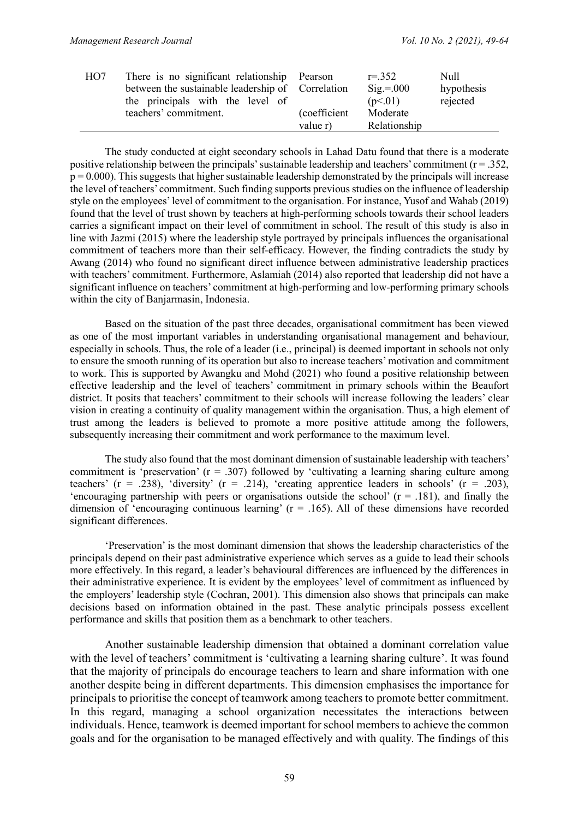| H <sub>O</sub> | There is no significant relationship Pearson      |               | $r = 352$           | Null       |
|----------------|---------------------------------------------------|---------------|---------------------|------------|
|                | between the sustainable leadership of Correlation |               | $\text{Sig} = 0.00$ | hypothesis |
|                | the principals with the level of                  |               | (p<.01)             | rejected   |
|                | teachers' commitment.                             | (coefficient) | Moderate            |            |
|                |                                                   | value r)      | Relationship        |            |

The study conducted at eight secondary schools in Lahad Datu found that there is a moderate positive relationship between the principals' sustainable leadership and teachers' commitment ( $r = .352$ ,  $p = 0.000$ ). This suggests that higher sustainable leadership demonstrated by the principals will increase the level of teachers' commitment. Such finding supports previous studies on the influence of leadership style on the employees' level of commitment to the organisation. For instance, Yusof and Wahab (2019) found that the level of trust shown by teachers at high-performing schools towards their school leaders carries a significant impact on their level of commitment in school. The result of this study is also in line with Jazmi (2015) where the leadership style portrayed by principals influences the organisational commitment of teachers more than their self-efficacy. However, the finding contradicts the study by Awang (2014) who found no significant direct influence between administrative leadership practices with teachers' commitment. Furthermore, Aslamiah (2014) also reported that leadership did not have a significant influence on teachers' commitment at high-performing and low-performing primary schools within the city of Banjarmasin, Indonesia.

Based on the situation of the past three decades, organisational commitment has been viewed as one of the most important variables in understanding organisational management and behaviour, especially in schools. Thus, the role of a leader (i.e., principal) is deemed important in schools not only to ensure the smooth running of its operation but also to increase teachers' motivation and commitment to work. This is supported by Awangku and Mohd (2021) who found a positive relationship between effective leadership and the level of teachers' commitment in primary schools within the Beaufort district. It posits that teachers' commitment to their schools will increase following the leaders' clear vision in creating a continuity of quality management within the organisation. Thus, a high element of trust among the leaders is believed to promote a more positive attitude among the followers, subsequently increasing their commitment and work performance to the maximum level.

The study also found that the most dominant dimension of sustainable leadership with teachers' commitment is 'preservation'  $(r = .307)$  followed by 'cultivating a learning sharing culture among teachers' (r = .238), 'diversity' (r = .214), 'creating apprentice leaders in schools' (r = .203), 'encouraging partnership with peers or organisations outside the school'  $(r = .181)$ , and finally the dimension of 'encouraging continuous learning'  $(r = .165)$ . All of these dimensions have recorded significant differences.

'Preservation' is the most dominant dimension that shows the leadership characteristics of the principals depend on their past administrative experience which serves as a guide to lead their schools more effectively. In this regard, a leader's behavioural differences are influenced by the differences in their administrative experience. It is evident by the employees' level of commitment as influenced by the employers' leadership style (Cochran, 2001). This dimension also shows that principals can make decisions based on information obtained in the past. These analytic principals possess excellent performance and skills that position them as a benchmark to other teachers.

Another sustainable leadership dimension that obtained a dominant correlation value with the level of teachers' commitment is 'cultivating a learning sharing culture'. It was found that the majority of principals do encourage teachers to learn and share information with one another despite being in different departments. This dimension emphasises the importance for principals to prioritise the concept of teamwork among teachers to promote better commitment. In this regard, managing a school organization necessitates the interactions between individuals. Hence, teamwork is deemed important for school members to achieve the common goals and for the organisation to be managed effectively and with quality. The findings of this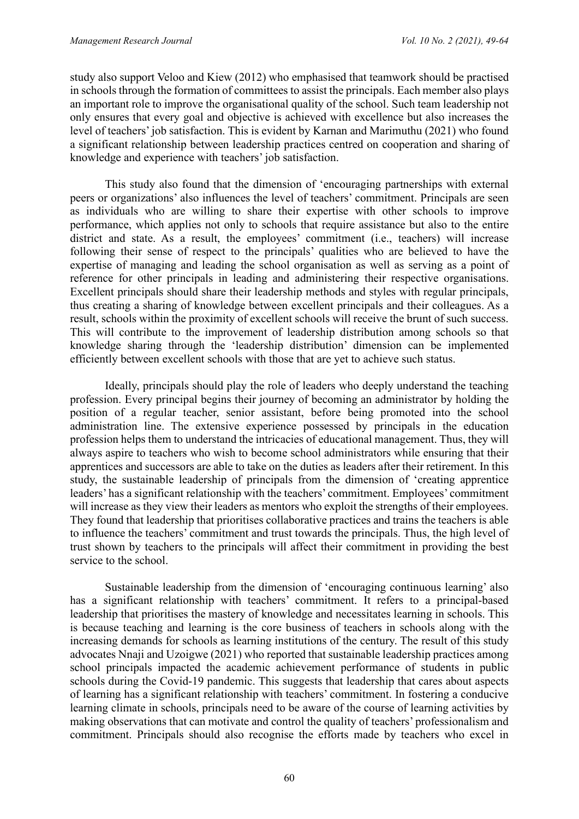study also support Veloo and Kiew (2012) who emphasised that teamwork should be practised in schools through the formation of committees to assist the principals. Each member also plays an important role to improve the organisational quality of the school. Such team leadership not only ensures that every goal and objective is achieved with excellence but also increases the level of teachers' job satisfaction. This is evident by Karnan and Marimuthu (2021) who found a significant relationship between leadership practices centred on cooperation and sharing of knowledge and experience with teachers' job satisfaction.

This study also found that the dimension of 'encouraging partnerships with external peers or organizations' also influences the level of teachers' commitment. Principals are seen as individuals who are willing to share their expertise with other schools to improve performance, which applies not only to schools that require assistance but also to the entire district and state. As a result, the employees' commitment (i.e., teachers) will increase following their sense of respect to the principals' qualities who are believed to have the expertise of managing and leading the school organisation as well as serving as a point of reference for other principals in leading and administering their respective organisations. Excellent principals should share their leadership methods and styles with regular principals, thus creating a sharing of knowledge between excellent principals and their colleagues. As a result, schools within the proximity of excellent schools will receive the brunt of such success. This will contribute to the improvement of leadership distribution among schools so that knowledge sharing through the 'leadership distribution' dimension can be implemented efficiently between excellent schools with those that are yet to achieve such status.

Ideally, principals should play the role of leaders who deeply understand the teaching profession. Every principal begins their journey of becoming an administrator by holding the position of a regular teacher, senior assistant, before being promoted into the school administration line. The extensive experience possessed by principals in the education profession helps them to understand the intricacies of educational management. Thus, they will always aspire to teachers who wish to become school administrators while ensuring that their apprentices and successors are able to take on the duties as leaders after their retirement. In this study, the sustainable leadership of principals from the dimension of 'creating apprentice leaders' has a significant relationship with the teachers' commitment. Employees' commitment will increase as they view their leaders as mentors who exploit the strengths of their employees. They found that leadership that prioritises collaborative practices and trains the teachers is able to influence the teachers' commitment and trust towards the principals. Thus, the high level of trust shown by teachers to the principals will affect their commitment in providing the best service to the school.

Sustainable leadership from the dimension of 'encouraging continuous learning' also has a significant relationship with teachers' commitment. It refers to a principal-based leadership that prioritises the mastery of knowledge and necessitates learning in schools. This is because teaching and learning is the core business of teachers in schools along with the increasing demands for schools as learning institutions of the century. The result of this study advocates Nnaji and Uzoigwe (2021) who reported that sustainable leadership practices among school principals impacted the academic achievement performance of students in public schools during the Covid-19 pandemic. This suggests that leadership that cares about aspects of learning has a significant relationship with teachers' commitment. In fostering a conducive learning climate in schools, principals need to be aware of the course of learning activities by making observations that can motivate and control the quality of teachers' professionalism and commitment. Principals should also recognise the efforts made by teachers who excel in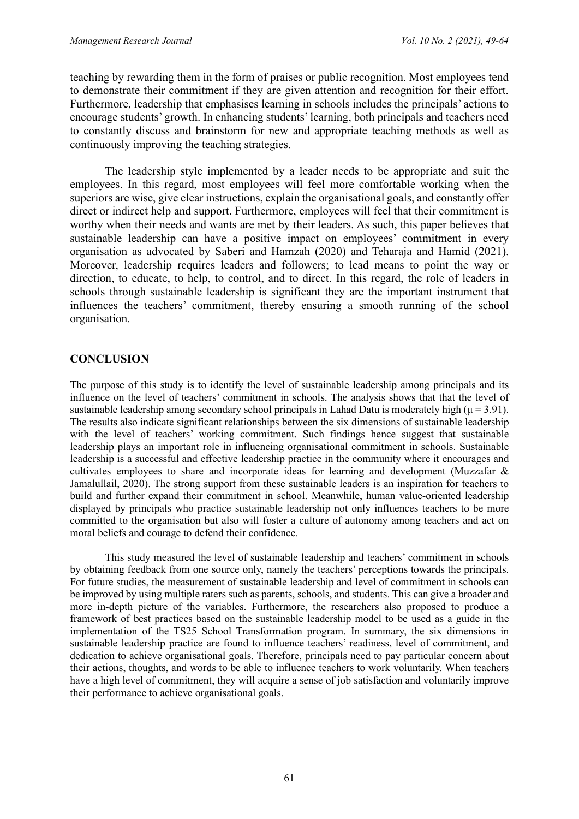teaching by rewarding them in the form of praises or public recognition. Most employees tend to demonstrate their commitment if they are given attention and recognition for their effort. Furthermore, leadership that emphasises learning in schools includes the principals' actions to encourage students' growth. In enhancing students' learning, both principals and teachers need to constantly discuss and brainstorm for new and appropriate teaching methods as well as continuously improving the teaching strategies.

The leadership style implemented by a leader needs to be appropriate and suit the employees. In this regard, most employees will feel more comfortable working when the superiors are wise, give clear instructions, explain the organisational goals, and constantly offer direct or indirect help and support. Furthermore, employees will feel that their commitment is worthy when their needs and wants are met by their leaders. As such, this paper believes that sustainable leadership can have a positive impact on employees' commitment in every organisation as advocated by Saberi and Hamzah (2020) and Teharaja and Hamid (2021). Moreover, leadership requires leaders and followers; to lead means to point the way or direction, to educate, to help, to control, and to direct. In this regard, the role of leaders in schools through sustainable leadership is significant they are the important instrument that influences the teachers' commitment, thereby ensuring a smooth running of the school organisation.

## **CONCLUSION**

The purpose of this study is to identify the level of sustainable leadership among principals and its influence on the level of teachers' commitment in schools. The analysis shows that that the level of sustainable leadership among secondary school principals in Lahad Datu is moderately high ( $\mu$  = 3.91). The results also indicate significant relationships between the six dimensions of sustainable leadership with the level of teachers' working commitment. Such findings hence suggest that sustainable leadership plays an important role in influencing organisational commitment in schools. Sustainable leadership is a successful and effective leadership practice in the community where it encourages and cultivates employees to share and incorporate ideas for learning and development (Muzzafar & Jamalullail, 2020). The strong support from these sustainable leaders is an inspiration for teachers to build and further expand their commitment in school. Meanwhile, human value-oriented leadership displayed by principals who practice sustainable leadership not only influences teachers to be more committed to the organisation but also will foster a culture of autonomy among teachers and act on moral beliefs and courage to defend their confidence.

This study measured the level of sustainable leadership and teachers' commitment in schools by obtaining feedback from one source only, namely the teachers' perceptions towards the principals. For future studies, the measurement of sustainable leadership and level of commitment in schools can be improved by using multiple raters such as parents, schools, and students. This can give a broader and more in-depth picture of the variables. Furthermore, the researchers also proposed to produce a framework of best practices based on the sustainable leadership model to be used as a guide in the implementation of the TS25 School Transformation program. In summary, the six dimensions in sustainable leadership practice are found to influence teachers' readiness, level of commitment, and dedication to achieve organisational goals. Therefore, principals need to pay particular concern about their actions, thoughts, and words to be able to influence teachers to work voluntarily. When teachers have a high level of commitment, they will acquire a sense of job satisfaction and voluntarily improve their performance to achieve organisational goals.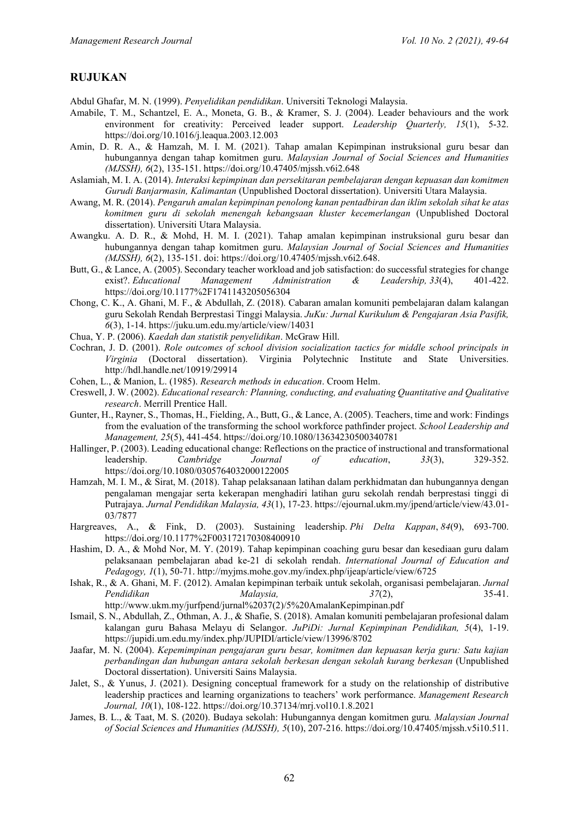#### **RUJUKAN**

Abdul Ghafar, M. N. (1999). *Penyelidikan pendidikan*. Universiti Teknologi Malaysia.

- Amabile, T. M., Schantzel, E. A., Moneta, G. B., & Kramer, S. J. (2004). Leader behaviours and the work environment for creativity: Perceived leader support. *Leadership Quarterly, 15*(1), 5-32. https://doi.org/10.1016/j.leaqua.2003.12.003
- Amin, D. R. A., & Hamzah, M. I. M. (2021). Tahap amalan Kepimpinan instruksional guru besar dan hubungannya dengan tahap komitmen guru. *Malaysian Journal of Social Sciences and Humanities (MJSSH), 6*(2), 135-151. https://doi.org/10.47405/mjssh.v6i2.648
- Aslamiah, M. I. A. (2014). *Interaksi kepimpinan dan persekitaran pembelajaran dengan kepuasan dan komitmen Gurudi Banjarmasin, Kalimantan* (Unpublished Doctoral dissertation). Universiti Utara Malaysia.
- Awang, M. R. (2014). *Pengaruh amalan kepimpinan penolong kanan pentadbiran dan iklim sekolah sihat ke atas komitmen guru di sekolah menengah kebangsaan kluster kecemerlangan* (Unpublished Doctoral dissertation). Universiti Utara Malaysia.
- Awangku. A. D. R., & Mohd, H. M. I. (2021). Tahap amalan kepimpinan instruksional guru besar dan hubungannya dengan tahap komitmen guru. *Malaysian Journal of Social Sciences and Humanities (MJSSH), 6*(2), 135-151. doi: https://doi.org/10.47405/mjssh.v6i2.648.
- Butt, G., & Lance, A. (2005). Secondary teacher workload and job satisfaction: do successful strategies for change exist?. *Educational Management Administration & Leadership, 33*(4), 401-422. https://doi.org/10.1177%2F1741143205056304
- Chong, C. K., A. Ghani, M. F., & Abdullah, Z. (2018). Cabaran amalan komuniti pembelajaran dalam kalangan guru Sekolah Rendah Berprestasi Tinggi Malaysia. *JuKu: Jurnal Kurikulum & Pengajaran Asia Pasifik, 6*(3), 1-14. https://juku.um.edu.my/article/view/14031
- Chua, Y. P. (2006). *Kaedah dan statistik penyelidikan*. McGraw Hill.
- Cochran, J. D. (2001). *Role outcomes of school division socialization tactics for middle school principals in Virginia* (Doctoral dissertation). Virginia Polytechnic Institute and State Universities. http://hdl.handle.net/10919/29914
- Cohen, L., & Manion, L. (1985). *Research methods in education*. Croom Helm.
- Creswell, J. W. (2002). *Educational research: Planning, conducting, and evaluating Quantitative and Qualitative research*. Merrill Prentice Hall.
- Gunter, H., Rayner, S., Thomas, H., Fielding, A., Butt, G., & Lance, A. (2005). Teachers, time and work: Findings from the evaluation of the transforming the school workforce pathfinder project. *School Leadership and Management, 25*(5), 441-454. https://doi.org/10.1080/13634230500340781
- Hallinger, P. (2003). Leading educational change: Reflections on the practice of instructional and transformational leadership. *Cambridge Journal of education*, *33*(3), 329-352. https://doi.org/10.1080/0305764032000122005
- Hamzah, M. I. M., & Sirat, M. (2018). Tahap pelaksanaan latihan dalam perkhidmatan dan hubungannya dengan pengalaman mengajar serta kekerapan menghadiri latihan guru sekolah rendah berprestasi tinggi di Putrajaya. *Jurnal Pendidikan Malaysia, 43*(1), 17-23. https://ejournal.ukm.my/jpend/article/view/43.01- 03/7877
- Hargreaves, A., & Fink, D. (2003). Sustaining leadership. *Phi Delta Kappan*, *84*(9), 693-700. https://doi.org/10.1177%2F003172170308400910
- Hashim, D. A., & Mohd Nor, M. Y. (2019). Tahap kepimpinan coaching guru besar dan kesediaan guru dalam pelaksanaan pembelajaran abad ke-21 di sekolah rendah. *International Journal of Education and Pedagogy, 1*(1), 50-71. http://myjms.mohe.gov.my/index.php/ijeap/article/view/6725
- Ishak, R., & A. Ghani, M. F. (2012). Amalan kepimpinan terbaik untuk sekolah, organisasi pembelajaran. *Jurnal Pendidikan Malaysia, 37*(2), 35-41. http://www.ukm.my/jurfpend/jurnal%2037(2)/5%20AmalanKepimpinan.pdf
- Ismail, S. N., Abdullah, Z., Othman, A. J., & Shafie, S. (2018). Amalan komuniti pembelajaran profesional dalam kalangan guru Bahasa Melayu di Selangor. *JuPiDi: Jurnal Kepimpinan Pendidikan, 5*(4), 1-19. https://jupidi.um.edu.my/index.php/JUPIDI/article/view/13996/8702
- Jaafar, M. N. (2004). *Kepemimpinan pengajaran guru besar, komitmen dan kepuasan kerja guru: Satu kajian perbandingan dan hubungan antara sekolah berkesan dengan sekolah kurang berkesan* (Unpublished Doctoral dissertation). Universiti Sains Malaysia.
- Jalet, S., & Yunus, J. (2021). Designing conceptual framework for a study on the relationship of distributive leadership practices and learning organizations to teachers' work performance. *Management Research Journal, 10*(1), 108-122. https://doi.org/10.37134/mrj.vol10.1.8.2021
- James, B. L., & Taat, M. S. (2020). Budaya sekolah: Hubungannya dengan komitmen guru*. Malaysian Journal of Social Sciences and Humanities (MJSSH), 5*(10), 207-216. https://doi.org/10.47405/mjssh.v5i10.511.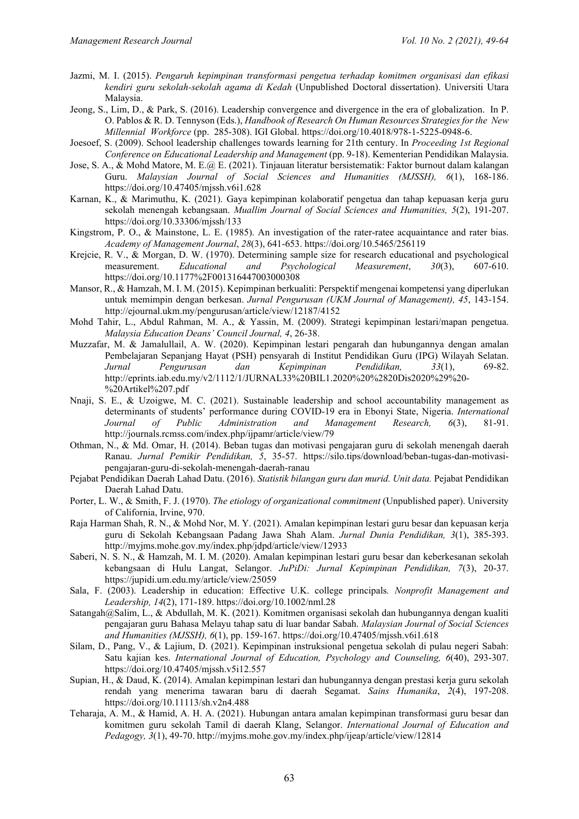- Jazmi, M. I. (2015). *Pengaruh kepimpinan transformasi pengetua terhadap komitmen organisasi dan efikasi kendiri guru sekolah-sekolah agama di Kedah* (Unpublished Doctoral dissertation). Universiti Utara Malaysia.
- Jeong, S., Lim, D., & Park, S. (2016). Leadership convergence and divergence in the era of globalization. In P. O. Pablos & R. D. Tennyson (Eds.), *Handbook of Research On Human Resources Strategies for the New Millennial Workforce* (pp. 285-308). IGI Global. https://doi.org/10.4018/978-1-5225-0948-6.
- Joesoef, S. (2009). School leadership challenges towards learning for 21th century. In *Proceeding 1st Regional Conference on Educational Leadership and Management* (pp. 9-18). Kementerian Pendidikan Malaysia.
- Jose, S. A., & Mohd Matore, M. E.@ E. (2021). Tinjauan literatur bersistematik: Faktor burnout dalam kalangan Guru. *Malaysian Journal of Social Sciences and Humanities (MJSSH), 6*(1), 168-186. https://doi.org/10.47405/mjssh.v6i1.628
- Karnan, K., & Marimuthu, K. (2021). Gaya kepimpinan kolaboratif pengetua dan tahap kepuasan kerja guru sekolah menengah kebangsaan. *Muallim Journal of Social Sciences and Humanities, 5*(2), 191-207. https://doi.org/10.33306/mjssh/133
- Kingstrom, P. O., & Mainstone, L. E. (1985). An investigation of the rater-ratee acquaintance and rater bias. *Academy of Management Journal*, *28*(3), 641-653. https://doi.org/10.5465/256119
- Krejcie, R. V., & Morgan, D. W. (1970). Determining sample size for research educational and psychological measurement. Educational and Psychological Measurement. 30(3), 607-610. measurement. *Educational* and *Psychological Measurement*, 30(3), https://doi.org/10.1177%2F001316447003000308
- Mansor, R., & Hamzah, M. I. M. (2015). Kepimpinan berkualiti: Perspektif mengenai kompetensi yang diperlukan untuk memimpin dengan berkesan. *Jurnal Pengurusan (UKM Journal of Management), 45*, 143-154. http://ejournal.ukm.my/pengurusan/article/view/12187/4152
- Mohd Tahir, L., Abdul Rahman, M. A., & Yassin, M. (2009). Strategi kepimpinan lestari/mapan pengetua. *Malaysia Education Deans' Council Journal, 4*, 26-38.
- Muzzafar, M. & Jamalullail, A. W. (2020). Kepimpinan lestari pengarah dan hubungannya dengan amalan Pembelajaran Sepanjang Hayat (PSH) pensyarah di Institut Pendidikan Guru (IPG) Wilayah Selatan.<br> *Jurnal Pengurusan dan Kepimpinan Pendidikan*, 33(1), 69-82. *Kepimpinan Pendidikan, 33*(1), http://eprints.iab.edu.my/v2/1112/1/JURNAL33%20BIL1.2020%20%2820Dis2020%29%20- %20Artikel%207.pdf
- Nnaji, S. E., & Uzoigwe, M. C. (2021). Sustainable leadership and school accountability management as determinants of students' performance during COVID-19 era in Ebonyi State, Nigeria. *International Journal of Public Administration and Management Research, 6*(3), 81-91. http://journals.rcmss.com/index.php/ijpamr/article/view/79
- Othman, N., & Md. Omar, H. (2014). Beban tugas dan motivasi pengajaran guru di sekolah menengah daerah Ranau. *Jurnal Pemikir Pendidikan, 5*, 35-57. https://silo.tips/download/beban-tugas-dan-motivasipengajaran-guru-di-sekolah-menengah-daerah-ranau
- Pejabat Pendidikan Daerah Lahad Datu. (2016). *Statistik bilangan guru dan murid. Unit data.* Pejabat Pendidikan Daerah Lahad Datu.
- Porter, L. W., & Smith, F. J. (1970). *The etiology of organizational commitment* (Unpublished paper). University of California, Irvine, 970.
- Raja Harman Shah, R. N., & Mohd Nor, M. Y. (2021). Amalan kepimpinan lestari guru besar dan kepuasan kerja guru di Sekolah Kebangsaan Padang Jawa Shah Alam. *Jurnal Dunia Pendidikan, 3*(1), 385-393. http://myjms.mohe.gov.my/index.php/jdpd/article/view/12933
- Saberi, N. S. N., & Hamzah, M. I. M. (2020). Amalan kepimpinan lestari guru besar dan keberkesanan sekolah kebangsaan di Hulu Langat, Selangor. *JuPiDi: Jurnal Kepimpinan Pendidikan, 7*(3), 20-37. https://jupidi.um.edu.my/article/view/25059
- Sala, F. (2003). Leadership in education: Effective U.K. college principals*. Nonprofit Management and Leadership, 14*(2), 171-189. https://doi.org/10.1002/nml.28
- Satangah@Salim, L., & Abdullah, M. K. (2021). Komitmen organisasi sekolah dan hubungannya dengan kualiti pengajaran guru Bahasa Melayu tahap satu di luar bandar Sabah. *Malaysian Journal of Social Sciences and Humanities (MJSSH), 6*(1), pp. 159-167. https://doi.org/10.47405/mjssh.v6i1.618
- Silam, D., Pang, V., & Lajium, D. (2021). Kepimpinan instruksional pengetua sekolah di pulau negeri Sabah: Satu kajian kes. *International Journal of Education, Psychology and Counseling, 6*(40), 293-307. https://doi.org/10.47405/mjssh.v5i12.557
- Supian, H., & Daud, K. (2014). Amalan kepimpinan lestari dan hubungannya dengan prestasi kerja guru sekolah rendah yang menerima tawaran baru di daerah Segamat. *Sains Humanika*, *2*(4), 197-208. https://doi.org/10.11113/sh.v2n4.488
- Teharaja, A. M., & Hamid, A. H. A. (2021). Hubungan antara amalan kepimpinan transformasi guru besar dan komitmen guru sekolah Tamil di daerah Klang, Selangor. *International Journal of Education and Pedagogy, 3*(1), 49-70. http://myjms.mohe.gov.my/index.php/ijeap/article/view/12814